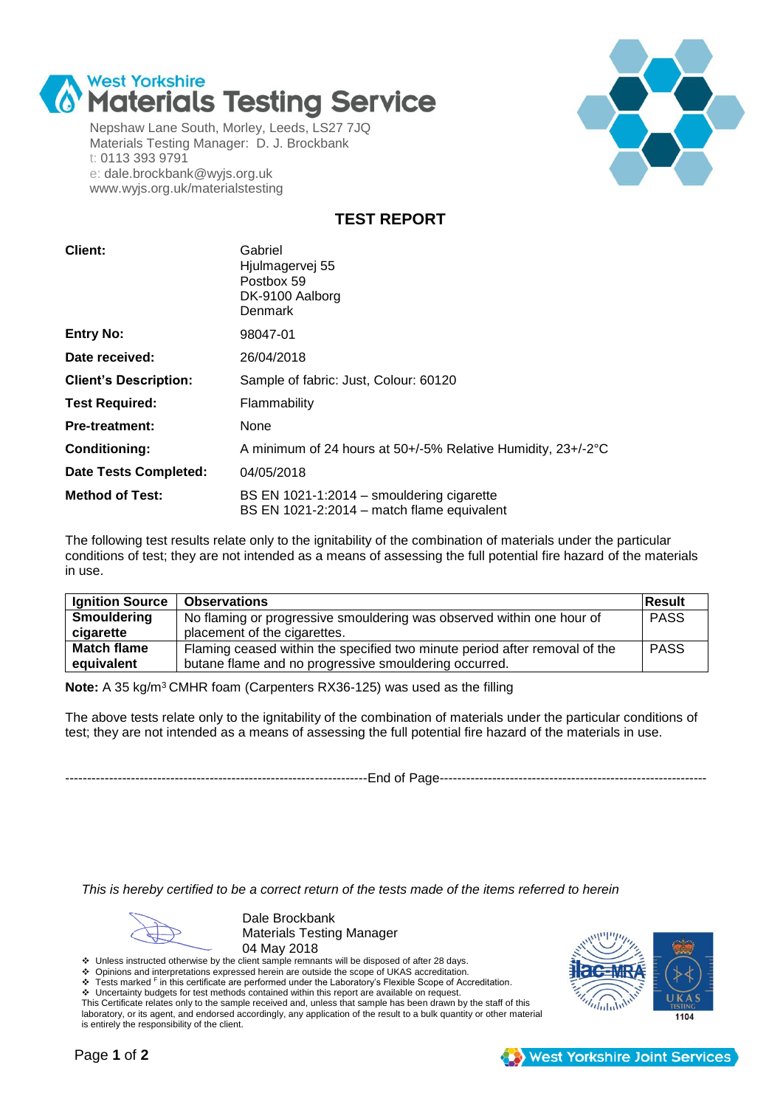

Nepshaw Lane South, Morley, Leeds, LS27 7JQ Materials Testing Manager: D. J. Brockbank t: 0113 393 9791 e: dale.brockbank@wyjs.org.uk www.wyjs.org.uk/materialstesting



**TEST REPORT**

| Client:                      | Gabriel<br>Hjulmagervej 55<br>Postbox 59<br>DK-9100 Aalborg<br>Denmark                  |  |  |  |  |
|------------------------------|-----------------------------------------------------------------------------------------|--|--|--|--|
| <b>Entry No:</b>             | 98047-01                                                                                |  |  |  |  |
| Date received:               | 26/04/2018                                                                              |  |  |  |  |
| <b>Client's Description:</b> | Sample of fabric: Just, Colour: 60120                                                   |  |  |  |  |
| <b>Test Required:</b>        | Flammability                                                                            |  |  |  |  |
| <b>Pre-treatment:</b>        | None                                                                                    |  |  |  |  |
| <b>Conditioning:</b>         | A minimum of 24 hours at 50+/-5% Relative Humidity, 23+/-2°C                            |  |  |  |  |
| <b>Date Tests Completed:</b> | 04/05/2018                                                                              |  |  |  |  |
| <b>Method of Test:</b>       | BS EN 1021-1:2014 – smouldering cigarette<br>BS EN 1021-2:2014 – match flame equivalent |  |  |  |  |

The following test results relate only to the ignitability of the combination of materials under the particular conditions of test; they are not intended as a means of assessing the full potential fire hazard of the materials in use.

| <b>Ignition Source</b> | <b>Observations</b>                                                        | <b>Result</b> |
|------------------------|----------------------------------------------------------------------------|---------------|
| <b>Smouldering</b>     | No flaming or progressive smouldering was observed within one hour of      | <b>PASS</b>   |
| cigarette              | placement of the cigarettes.                                               |               |
| <b>Match flame</b>     | Flaming ceased within the specified two minute period after removal of the | <b>PASS</b>   |
| equivalent             | butane flame and no progressive smouldering occurred.                      |               |

**Note:** A 35 kg/m<sup>3</sup>CMHR foam (Carpenters RX36-125) was used as the filling

The above tests relate only to the ignitability of the combination of materials under the particular conditions of test; they are not intended as a means of assessing the full potential fire hazard of the materials in use.

---------------------------------------------------------------------End of Page-------------------------------------------------------------

*This is hereby certified to be a correct return of the tests made of the items referred to herein*

Dale Brockbank Materials Testing Manager 04 May 2018

Unless instructed otherwise by the client sample remnants will be disposed of after 28 days.<br>• Opinions and interpretations expressed herein are outside the scope of UKAS accreditation.

Opinions and interpretations expressed herein are outside the scope of UKAS accreditation.<br>Tests marked <sup>F</sup> in this certificate are performed under the Laboratory's Flexible Scope of Acc

 Tests marked <sup>F</sup> in this certificate are performed under the Laboratory's Flexible Scope of Accreditation. Uncertainty budgets for test methods contained within this report are available on request.

This Certificate relates only to the sample received and, unless that sample has been drawn by the staff of this laboratory, or its agent, and endorsed accordingly, any application of the result to a bulk quantity or other material is entirely the responsibility of the client.